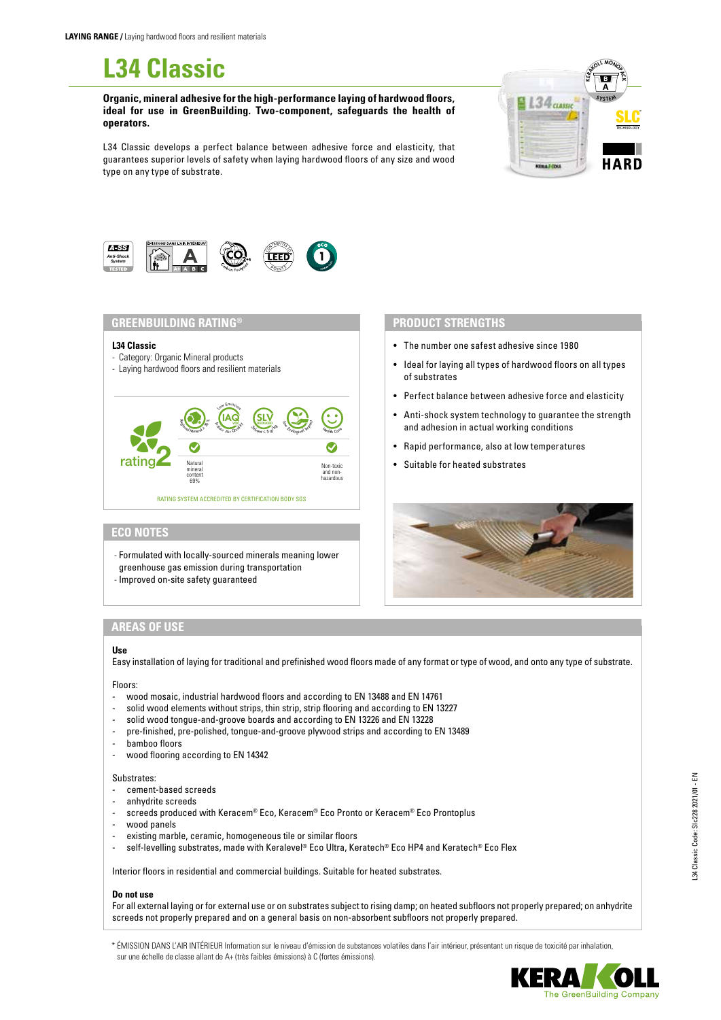# **L34 Classic**

**Organic, mineral adhesive for the high-performance laying of hardwood floors, ideal for use in GreenBuilding. Two-component, safeguards the health of operators.**

L34 Classic develops a perfect balance between adhesive force and elasticity, that guarantees superior levels of safety when laying hardwood floors of any size and wood type on any type of substrate.





## **GREENBUILDING RATING®**

#### **L34 Classic**

- Category: Organic Mineral products
- Laying hardwood floors and resilient materials



## **ECO NOTES**

- Formulated with locally-sourced minerals meaning lower greenhouse gas emission during transportation
- Improved on-site safety guaranteed

## **PRODUCT STRENGTHS**

- The number one safest adhesive since 1980
- Ideal for laying all types of hardwood floors on all types of substrates
- Perfect balance between adhesive force and elasticity
- Anti-shock system technology to guarantee the strength and adhesion in actual working conditions
- Rapid performance, also at low temperatures
- Suitable for heated substrates



# **AREAS OF USE**

#### **Use**

Easy installation of laying for traditional and prefinished wood floors made of any format or type of wood, and onto any type of substrate.

Floors:

- wood mosaic, industrial hardwood floors and according to EN 13488 and EN 14761
- solid wood elements without strips, thin strip, strip flooring and according to EN 13227
- solid wood tongue-and-groove boards and according to EN 13226 and EN 13228
- pre-finished, pre-polished, tongue-and-groove plywood strips and according to EN 13489
- bamboo floors
- wood flooring according to EN 14342

# Substrates:

- cement-based screeds
- anhydrite screeds
- screeds produced with Keracem® Eco, Keracem® Eco Pronto or Keracem® Eco Prontoplus
- wood panels
- existing marble, ceramic, homogeneous tile or similar floors
- self-levelling substrates, made with Keralevel® Eco Ultra, Keratech® Eco HP4 and Keratech® Eco Flex

Interior floors in residential and commercial buildings. Suitable for heated substrates.

# **Do not use**

For all external laying or for external use or on substrates subject to rising damp; on heated subfloors not properly prepared; on anhydrite screeds not properly prepared and on a general basis on non-absorbent subfloors not properly prepared.

\* ÉMISSION DANS L'AIR INTÉRIEUR Information sur le niveau d'émission de substances volatiles dans l'air intérieur, présentant un risque de toxicité par inhalation, sur une échelle de classe allant de A+ (très faibles émissions) à C (fortes émissions).

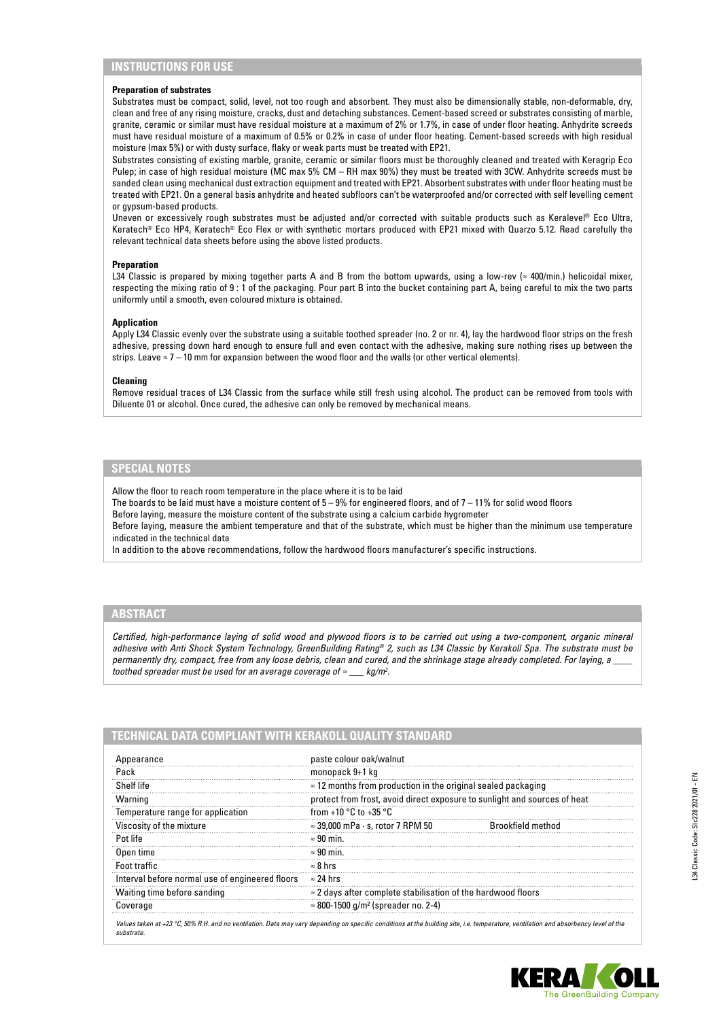# **INSTRUCTIONS FOR USE**

### **Preparation of substrates**

Substrates must be compact, solid, level, not too rough and absorbent. They must also be dimensionally stable, non-deformable, dry, clean and free of any rising moisture, cracks, dust and detaching substances. Cement-based screed or substrates consisting of marble, granite, ceramic or similar must have residual moisture at a maximum of 2% or 1.7%, in case of under floor heating. Anhydrite screeds must have residual moisture of a maximum of 0.5% or 0.2% in case of under floor heating. Cement-based screeds with high residual moisture (max 5%) or with dusty surface, flaky or weak parts must be treated with EP21.

Substrates consisting of existing marble, granite, ceramic or similar floors must be thoroughly cleaned and treated with Keragrip Eco Pulep; in case of high residual moisture (MC max 5% CM – RH max 90%) they must be treated with 3CW. Anhydrite screeds must be sanded clean using mechanical dust extraction equipment and treated with EP21. Absorbent substrates with under floor heating must be treated with EP21. On a general basis anhydrite and heated subfloors can't be waterproofed and/or corrected with self levelling cement or gypsum-based products.

Uneven or excessively rough substrates must be adjusted and/or corrected with suitable products such as Keralevel® Eco Ultra, Keratech® Eco HP4, Keratech® Eco Flex or with synthetic mortars produced with EP21 mixed with Quarzo 5.12. Read carefully the relevant technical data sheets before using the above listed products.

## **Preparation**

L34 Classic is prepared by mixing together parts A and B from the bottom upwards, using a low-rev ( $\approx$  400/min.) helicoidal mixer, respecting the mixing ratio of 9 : 1 of the packaging. Pour part B into the bucket containing part A, being careful to mix the two parts uniformly until a smooth, even coloured mixture is obtained.

#### **Application**

Apply L34 Classic evenly over the substrate using a suitable toothed spreader (no. 2 or nr. 4), lay the hardwood floor strips on the fresh adhesive, pressing down hard enough to ensure full and even contact with the adhesive, making sure nothing rises up between the strips. Leave  $\approx$  7 – 10 mm for expansion between the wood floor and the walls (or other vertical elements).

## **Cleaning**

Remove residual traces of L34 Classic from the surface while still fresh using alcohol. The product can be removed from tools with Diluente 01 or alcohol. Once cured, the adhesive can only be removed by mechanical means.

# **SPECIAL NOTES**

Allow the floor to reach room temperature in the place where it is to be laid

The boards to be laid must have a moisture content of  $5-9%$  for engineered floors, and of  $7-11%$  for solid wood floors

Before laying, measure the moisture content of the substrate using a calcium carbide hygrometer

Before laying, measure the ambient temperature and that of the substrate, which must be higher than the minimum use temperature indicated in the technical data

In addition to the above recommendations, follow the hardwood floors manufacturer's specific instructions.

## **ABSTRACT**

*Certified, high-performance laying of solid wood and plywood floors is to be carried out using a two-component, organic mineral adhesive with Anti Shock System Technology, GreenBuilding Rating® 2, such as L34 Classic by Kerakoll Spa. The substrate must be permanently dry, compact, free from any loose debris, clean and cured, and the shrinkage stage already completed. For laying, a \_\_\_\_*  toothed spreader must be used for an average coverage of ≈  $k\pi/m^2$ 

| Appearance                                      | paste colour oak/walnut                                                   |                   |
|-------------------------------------------------|---------------------------------------------------------------------------|-------------------|
| Pack                                            | monopack 9+1 kg                                                           |                   |
| Shelf life                                      | $\approx$ 12 months from production in the original sealed packaging      |                   |
| Warning                                         | protect from frost, avoid direct exposure to sunlight and sources of heat |                   |
| Temperature range for application               | from +10 $\degree$ C to +35 $\degree$ C                                   |                   |
| Viscosity of the mixture                        | $\approx$ 39,000 mPa $\cdot$ s, rotor 7 RPM 50                            | Brookfield method |
| Pot life                                        | $\approx 90$ min.                                                         |                   |
| Open time                                       | $\approx 90$ min.                                                         |                   |
| Foot traffic                                    | $\approx$ 8 hrs                                                           |                   |
| Interval before normal use of engineered floors | $\approx$ 24 hrs                                                          |                   |
| Waiting time before sanding                     | $\approx$ 2 days after complete stabilisation of the hardwood floors      |                   |
| Coverage                                        | $\approx 800 - 1500$ g/m <sup>2</sup> (spreader no. 2-4)                  |                   |

*Values taken at +23 °C, 50% R.H. and no ventilation. Data may vary depending on specific conditions at the building site, i.e. temperature, ventilation and absorbency level of the substrate.*